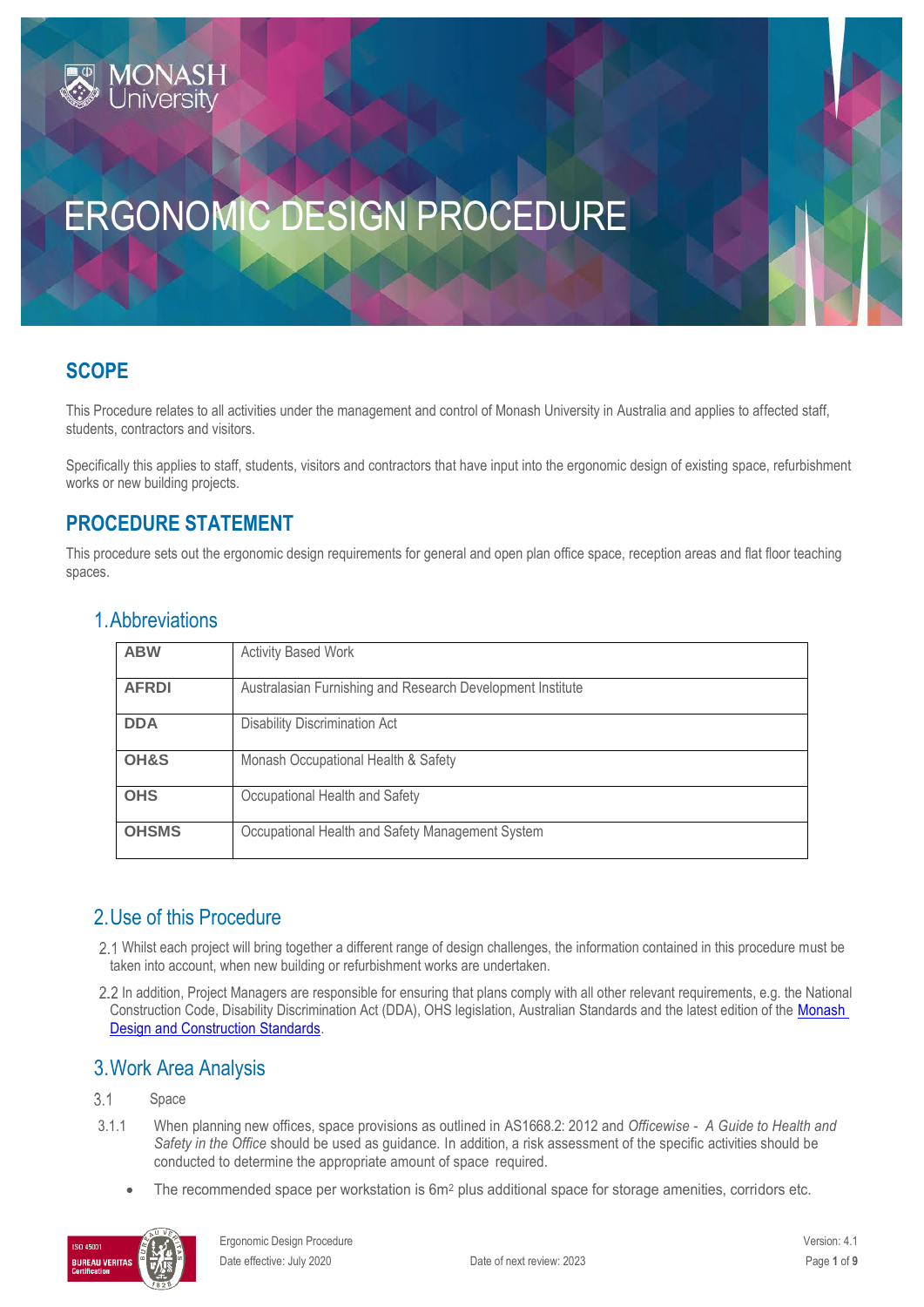# ERGONOMIC DESIGN PROCEDURE

# **SCOPE**

This Procedure relates to all activities under the management and control of Monash University in Australia and applies to affected staff, students, contractors and visitors.

Specifically this applies to staff, students, visitors and contractors that have input into the ergonomic design of existing space, refurbishment works or new building projects.

# **PROCEDURE STATEMENT**

This procedure sets out the ergonomic design requirements for general and open plan office space, reception areas and flat floor teaching spaces.

| <b>ABW</b>   | <b>Activity Based Work</b>                                 |
|--------------|------------------------------------------------------------|
|              |                                                            |
| <b>AFRDI</b> | Australasian Furnishing and Research Development Institute |
|              |                                                            |
| <b>DDA</b>   | <b>Disability Discrimination Act</b>                       |
|              |                                                            |
| OH&S         | Monash Occupational Health & Safety                        |
|              |                                                            |
| <b>OHS</b>   | Occupational Health and Safety                             |
|              |                                                            |
| <b>OHSMS</b> | Occupational Health and Safety Management System           |
|              |                                                            |

### 1.Abbreviations

### 2.Use of this Procedure

- Whilst each project will bring together a different range of design challenges, the information contained in this procedure must be taken into account, when new building or refurbishment works are undertaken.
- 2.2 In addition, Project Managers are responsible for ensuring that plans comply with all other relevant requirements, e.g. the National Construction Code, Disability Discrimination Act (DDA), OHS legislation, Australian Standards and the latest edition of the [Monash](https://www.monash.edu/contractors/monash-design-and-construction-standards)  [Design and Construction Standards.](https://www.monash.edu/contractors/monash-design-and-construction-standards)

### 3.Work Area Analysis

#### $3.1$ Space

- 3.1.1 When planning new offices, space provisions as outlined in AS1668.2: 2012 and *Officewise A Guide to Health and Safety in the Office* should be used as guidance. In addition, a risk assessment of the specific activities should be conducted to determine the appropriate amount of space required.
	- The recommended space per workstation is 6m<sup>2</sup> plus additional space for storage amenities, corridors etc.

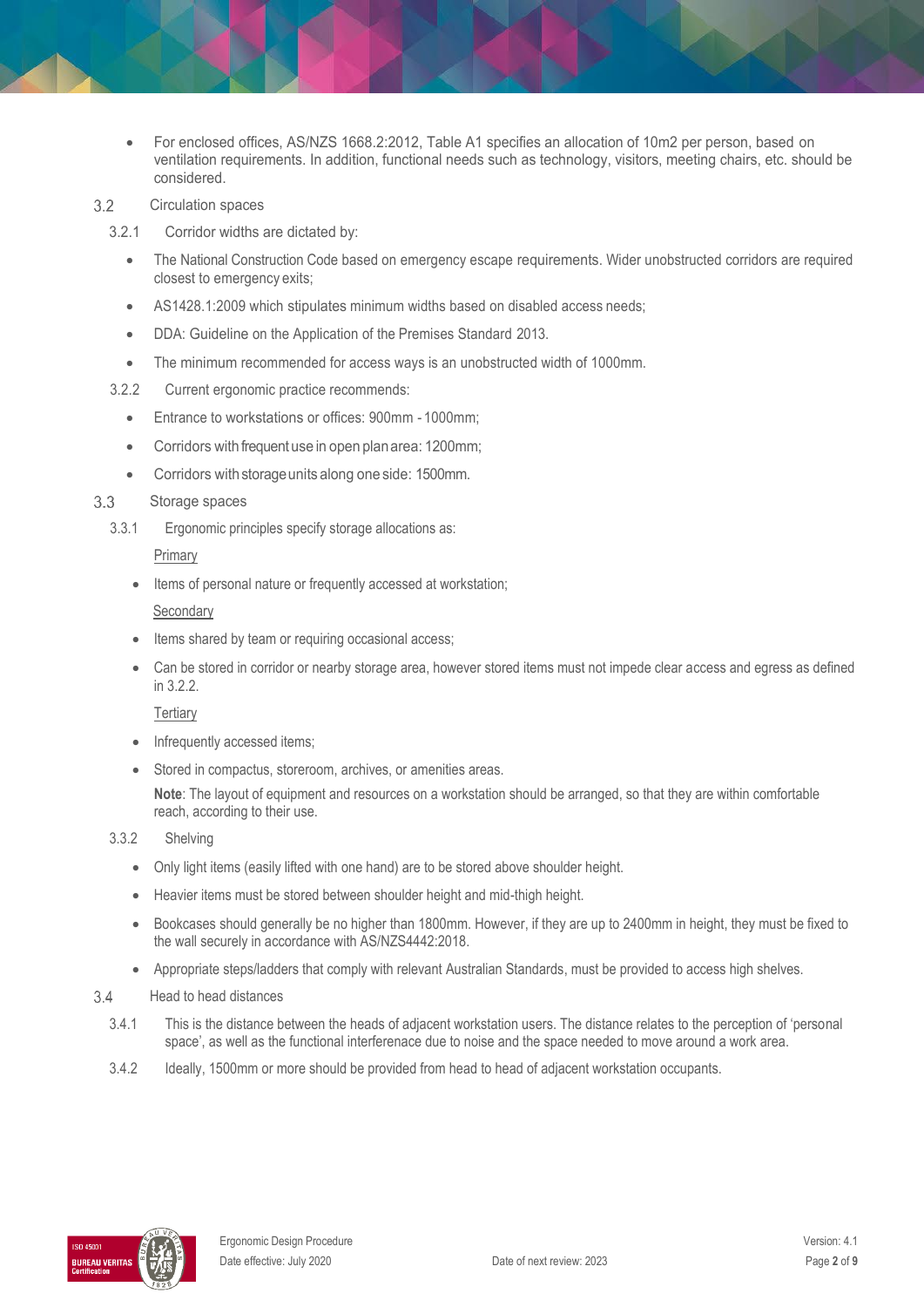- For enclosed offices, AS/NZS 1668.2:2012, Table A1 specifies an allocation of 10m2 per person, based on ventilation requirements. In addition, functional needs such as technology, visitors, meeting chairs, etc. should be considered.
- $3.2$ Circulation spaces
	- 3.2.1 Corridor widths are dictated by:
		- The National Construction Code based on emergency escape requirements. Wider unobstructed corridors are required closest to emergency exits;
		- AS1428.1:2009 which stipulates minimum widths based on disabled access needs;
		- DDA: Guideline on the Application of the Premises Standard 2013.
		- The minimum recommended for access ways is an unobstructed width of 1000mm.
	- 3.2.2 Current ergonomic practice recommends:
		- Entrance to workstations or offices: 900mm 1000mm;
		- Corridors with frequent use in open planarea: 1200mm;
		- Corridors with storage units along one side: 1500mm.

#### $3.3$ Storage spaces

3.3.1 Ergonomic principles specify storage allocations as:

### Primary

Items of personal nature or frequently accessed at workstation;

### **Secondary**

- Items shared by team or requiring occasional access;
- Can be stored in corridor or nearby storage area, however stored items must not impede clear access and egress as defined in 3.2.2.

### **Tertiary**

- Infrequently accessed items;
- Stored in compactus, storeroom, archives, or amenities areas.

**Note**: The layout of equipment and resources on a workstation should be arranged, so that they are within comfortable reach, according to their use.

### 3.3.2 Shelving

- Only light items (easily lifted with one hand) are to be stored above shoulder height.
- Heavier items must be stored between shoulder height and mid-thigh height.
- Bookcases should generally be no higher than 1800mm. However, if they are up to 2400mm in height, they must be fixed to the wall securely in accordance with AS/NZS4442:2018.
- Appropriate steps/ladders that comply with relevant Australian Standards, must be provided to access high shelves.

#### $3.4$ Head to head distances

- 3.4.1 This is the distance between the heads of adjacent workstation users. The distance relates to the perception of 'personal space', as well as the functional interferenace due to noise and the space needed to move around a work area.
- 3.4.2 Ideally, 1500mm or more should be provided from head to head of adjacent workstation occupants.

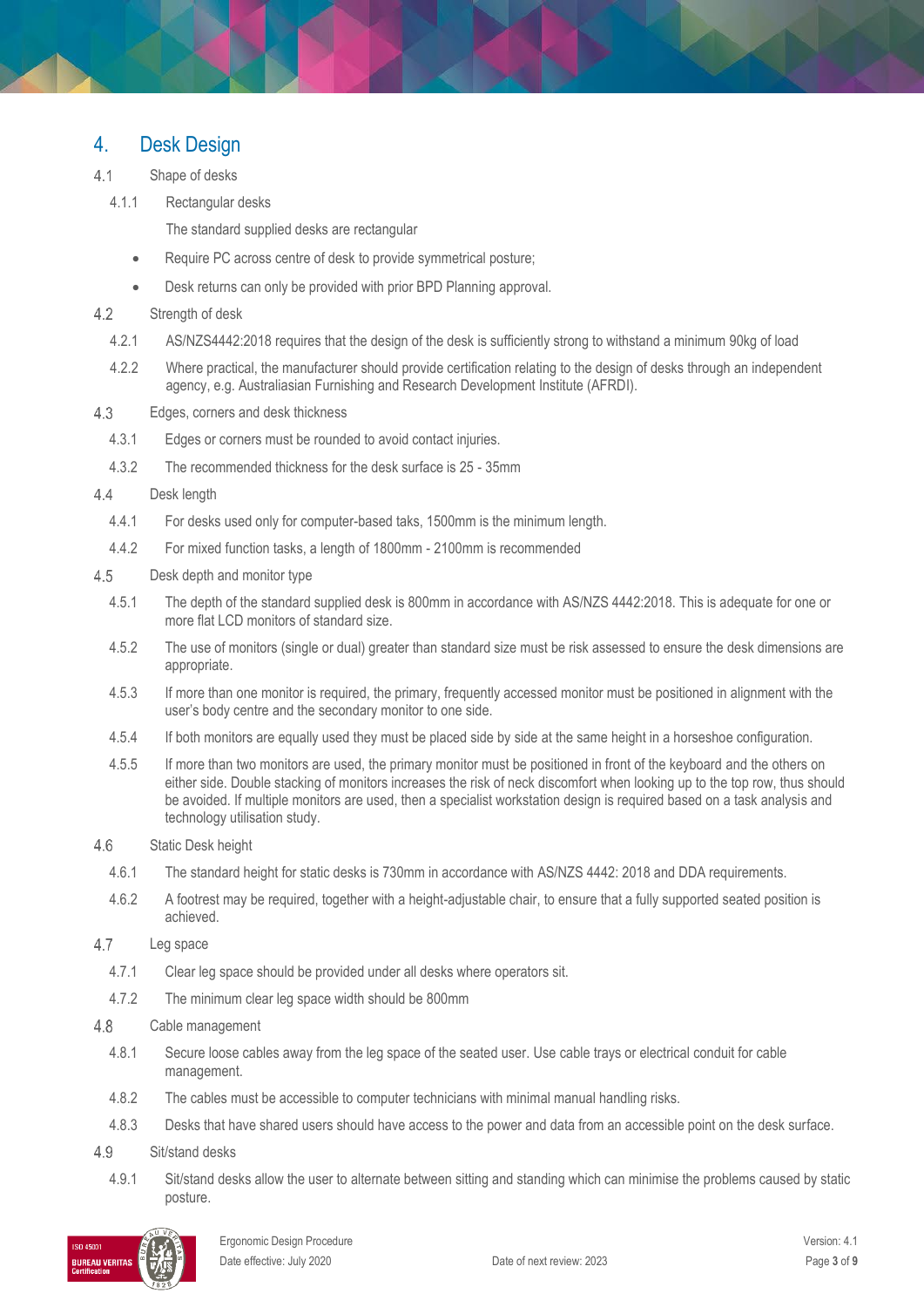### 4. Desk Design

- $4.1$ Shape of desks
	- 4.1.1 Rectangular desks

The standard supplied desks are rectangular

- Require PC across centre of desk to provide symmetrical posture;
- Desk returns can only be provided with prior BPD Planning approval.
- $4.2$ Strength of desk
	- 4.2.1 AS/NZS4442:2018 requires that the design of the desk is sufficiently strong to withstand a minimum 90kg of load
	- 4.2.2 Where practical, the manufacturer should provide certification relating to the design of desks through an independent agency, e.g. Australiasian Furnishing and Research Development Institute (AFRDI).
- 4.3 Edges, corners and desk thickness
	- 4.3.1 Edges or corners must be rounded to avoid contact injuries.
	- 4.3.2 The recommended thickness for the desk surface is 25 35mm
- $4.4$ Desk length
	- 4.4.1 For desks used only for computer-based taks, 1500mm is the minimum length.
	- 4.4.2 For mixed function tasks, a length of 1800mm 2100mm is recommended
- 4.5 Desk depth and monitor type
	- 4.5.1 The depth of the standard supplied desk is 800mm in accordance with AS/NZS 4442:2018. This is adequate for one or more flat LCD monitors of standard size.
	- 4.5.2 The use of monitors (single or dual) greater than standard size must be risk assessed to ensure the desk dimensions are appropriate.
	- 4.5.3 If more than one monitor is required, the primary, frequently accessed monitor must be positioned in alignment with the user's body centre and the secondary monitor to one side.
	- 4.5.4 If both monitors are equally used they must be placed side by side at the same height in a horseshoe configuration.
	- 4.5.5 If more than two monitors are used, the primary monitor must be positioned in front of the keyboard and the others on either side. Double stacking of monitors increases the risk of neck discomfort when looking up to the top row, thus should be avoided. If multiple monitors are used, then a specialist workstation design is required based on a task analysis and technology utilisation study.
- 4.6 Static Desk height
	- 4.6.1 The standard height for static desks is 730mm in accordance with AS/NZS 4442: 2018 and DDA requirements.
	- 4.6.2 A footrest may be required, together with a height-adjustable chair, to ensure that a fully supported seated position is achieved.
- 4.7 Leg space
	- 4.7.1 Clear leg space should be provided under all desks where operators sit.
	- 4.7.2 The minimum clear leg space width should be 800mm

#### 4.8 Cable management

- 4.8.1 Secure loose cables away from the leg space of the seated user. Use cable trays or electrical conduit for cable management.
- 4.8.2 The cables must be accessible to computer technicians with minimal manual handling risks.
- 4.8.3 Desks that have shared users should have access to the power and data from an accessible point on the desk surface.
- 49 Sit/stand desks
	- 4.9.1 Sit/stand desks allow the user to alternate between sitting and standing which can minimise the problems caused by static posture.

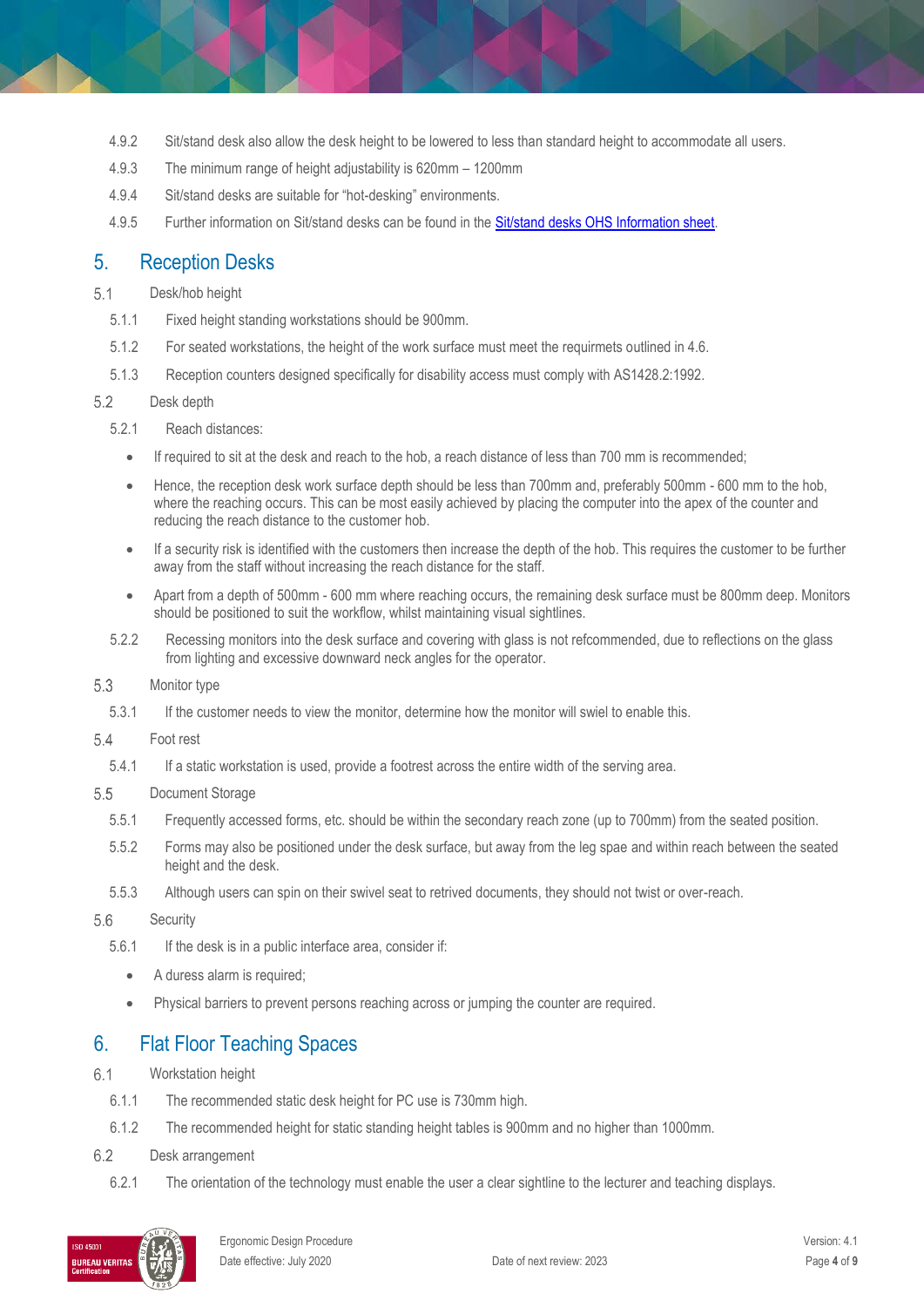- 4.9.2 Sit/stand desk also allow the desk height to be lowered to less than standard height to accommodate all users.
- 4.9.3 The minimum range of height adjustability is 620mm 1200mm
- 4.9.4 Sit/stand desks are suitable for "hot-desking" environments.
- 4.9.5 Further information on Sit/stand desks can be found in the [Sit/stand desks OHS Information sheet.](http://www.monash.edu/ohs/info-docs/safety-topics/ergonomics-and-manual-handling/sit-stand-desks)

### 5. Reception Desks

#### $5.1$ Desk/hob height

- 5.1.1 Fixed height standing workstations should be 900mm.
- 5.1.2 For seated workstations, the height of the work surface must meet the requirmets outlined in 4.6.
- 5.1.3 Reception counters designed specifically for disability access must comply with AS1428.2:1992.

#### 5.2 Desk depth

- 5.2.1 Reach distances:
	- If required to sit at the desk and reach to the hob, a reach distance of less than 700 mm is recommended;
	- Hence, the reception desk work surface depth should be less than 700mm and, preferably 500mm 600 mm to the hob, where the reaching occurs. This can be most easily achieved by placing the computer into the apex of the counter and reducing the reach distance to the customer hob.
	- If a security risk is identified with the customers then increase the depth of the hob. This requires the customer to be further away from the staff without increasing the reach distance for the staff.
	- Apart from a depth of 500mm 600 mm where reaching occurs, the remaining desk surface must be 800mm deep. Monitors should be positioned to suit the workflow, whilst maintaining visual sightlines.
- 5.2.2 Recessing monitors into the desk surface and covering with glass is not refcommended, due to reflections on the glass from lighting and excessive downward neck angles for the operator.
- 5.3 Monitor type
	- 5.3.1 If the customer needs to view the monitor, determine how the monitor will swiel to enable this.
- 5.4 Foot rest
	- 5.4.1 If a static workstation is used, provide a footrest across the entire width of the serving area.
- 5.5 Document Storage
	- 5.5.1 Frequently accessed forms, etc. should be within the secondary reach zone (up to 700mm) from the seated position.
	- 5.5.2 Forms may also be positioned under the desk surface, but away from the leg spae and within reach between the seated height and the desk.
	- 5.5.3 Although users can spin on their swivel seat to retrived documents, they should not twist or over-reach.

#### 5.6 **Security**

- 5.6.1 If the desk is in a public interface area, consider if:
	- A duress alarm is required;
	- Physical barriers to prevent persons reaching across or jumping the counter are required.

### 6. Flat Floor Teaching Spaces

- $6.1$ Workstation height
	- 6.1.1 The recommended static desk height for PC use is 730mm high.
	- 6.1.2 The recommended height for static standing height tables is 900mm and no higher than 1000mm.
- 6.2 Desk arrangement
	- 6.2.1 The orientation of the technology must enable the user a clear sightline to the lecturer and teaching displays.

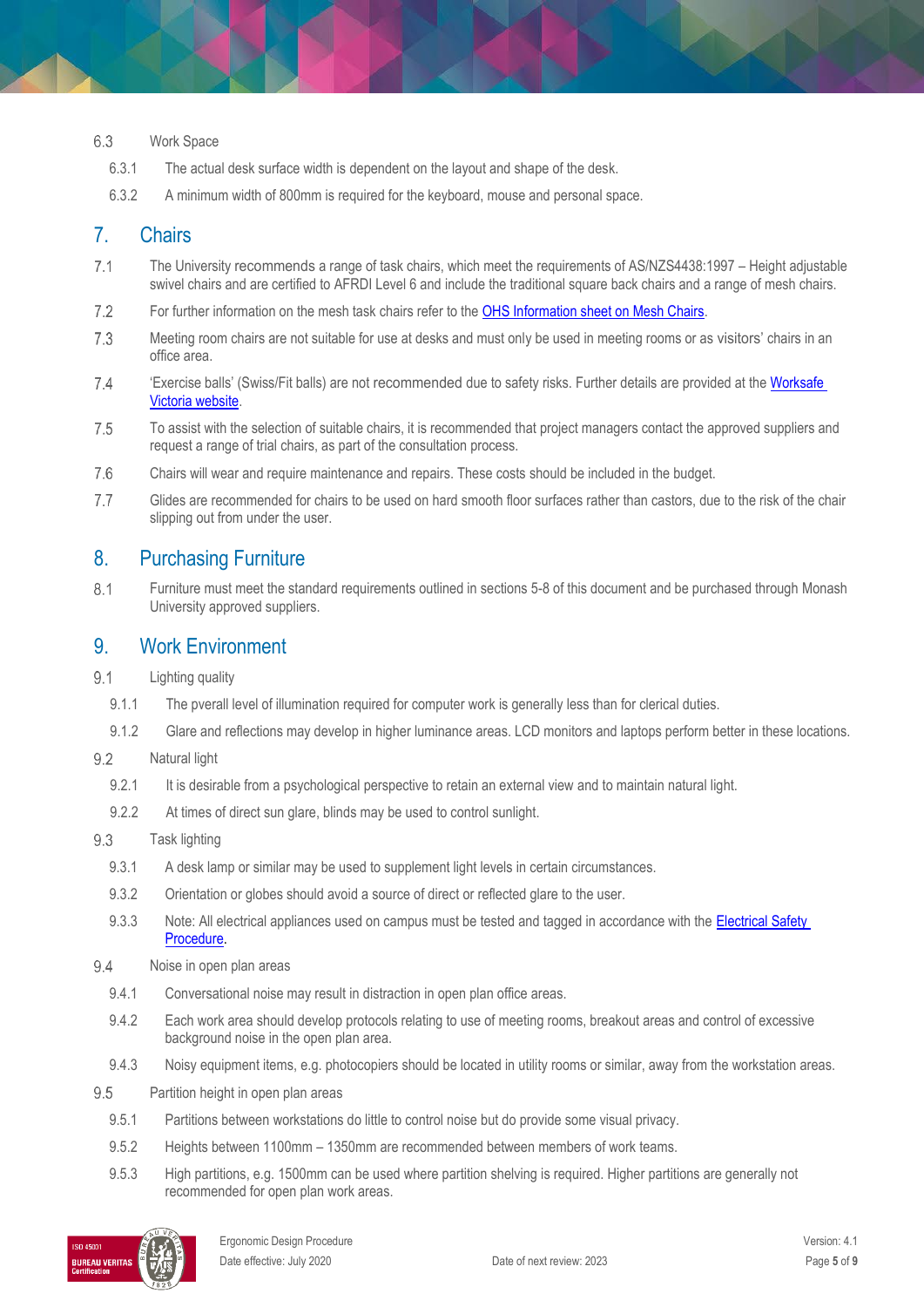#### 6.3 Work Space

- 6.3.1 The actual desk surface width is dependent on the layout and shape of the desk.
- 6.3.2 A minimum width of 800mm is required for the keyboard, mouse and personal space.

### 7. Chairs

- $7.1$ The University recommends a range of task chairs, which meet the requirements of AS/NZS4438:1997 – Height adjustable swivel chairs and are certified to AFRDI Level 6 and include the traditional square back chairs and a range of mesh chairs.
- $7.2$ For further information on the mesh task chairs refer to the [OHS Information sheet on Mesh Chairs.](http://www.monash.edu/ohs/info-docs/safety-topics/ergonomics-and-manual-handling/mesh-chairs-ohs-information-sheet)
- 7.3 Meeting room chairs are not suitable for use at desks and must only be used in meeting rooms or as visitors' chairs in an office area.
- 7.4 'Exercise balls' (Swiss/Fit balls) are not recommended due to safety risks. Further details are provided at th[e Worksafe](https://www.worksafe.vic.gov.au/fitness-balls-are-not-suitable-chairs)  [Victoria website.](https://www.worksafe.vic.gov.au/fitness-balls-are-not-suitable-chairs)
- 7.5 To assist with the selection of suitable chairs, it is recommended that project managers contact the approved suppliers and request a range of trial chairs, as part of the consultation process.
- 7.6 Chairs will wear and require maintenance and repairs. These costs should be included in the budget.
- $7.7$ Glides are recommended for chairs to be used on hard smooth floor surfaces rather than castors, due to the risk of the chair slipping out from under the user.

### 8. Purchasing Furniture

8.1 Furniture must meet the standard requirements outlined in sections 5-8 of this document and be purchased through Monash University approved suppliers.

### 9. Work Environment

- $9.1$ Lighting quality
	- 9.1.1 The pverall level of illumination required for computer work is generally less than for clerical duties.
	- 9.1.2 Glare and reflections may develop in higher luminance areas. LCD monitors and laptops perform better in these locations.
- $9.2$ Natural light
	- 9.2.1 It is desirable from a psychological perspective to retain an external view and to maintain natural light.
	- 9.2.2 At times of direct sun glare, blinds may be used to control sunlight.
- 9.3 Task lighting
	- 9.3.1 A desk lamp or similar may be used to supplement light levels in certain circumstances.
	- 9.3.2 Orientation or globes should avoid a source of direct or reflected glare to the user.
	- 9.3.3 Note: All electrical appliances used on campus must be tested and tagged in accordance with the Electrical Safety [Procedure.](https://publicpolicydms.monash.edu/Monash/documents/1935606)
- 9.4 Noise in open plan areas
	- 9.4.1 Conversational noise may result in distraction in open plan office areas.
	- 9.4.2 Each work area should develop protocols relating to use of meeting rooms, breakout areas and control of excessive background noise in the open plan area.
	- 9.4.3 Noisy equipment items, e.g. photocopiers should be located in utility rooms or similar, away from the workstation areas.
- 9.5 Partition height in open plan areas
	- 9.5.1 Partitions between workstations do little to control noise but do provide some visual privacy.
	- 9.5.2 Heights between 1100mm 1350mm are recommended between members of work teams.
	- 9.5.3 High partitions, e.g. 1500mm can be used where partition shelving is required. Higher partitions are generally not recommended for open plan work areas.

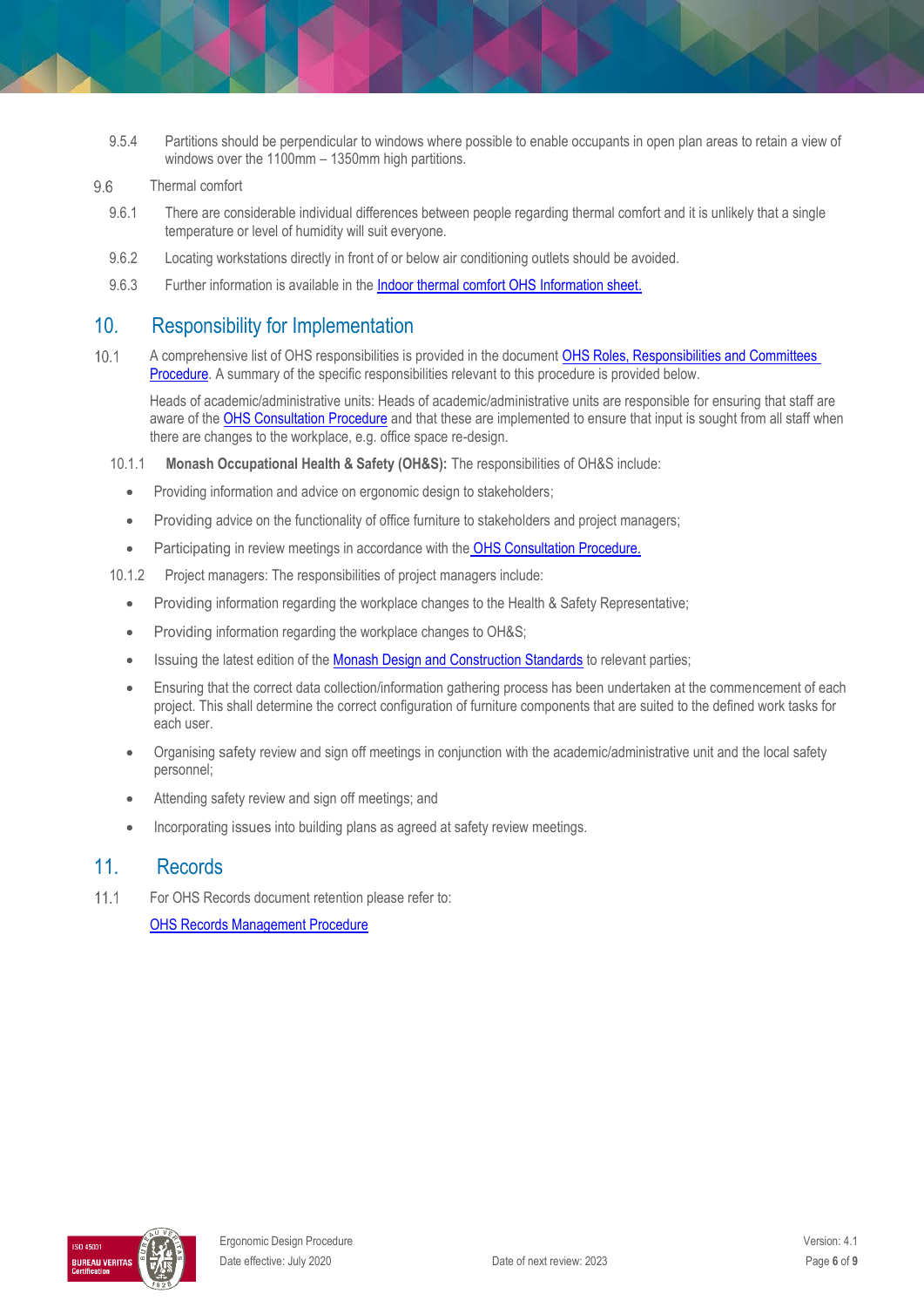9.5.4 Partitions should be perpendicular to windows where possible to enable occupants in open plan areas to retain a view of windows over the 1100mm – 1350mm high partitions.

#### 9.6 Thermal comfort

- 9.6.1 There are considerable individual differences between people regarding thermal comfort and it is unlikely that a single temperature or level of humidity will suit everyone.
- 9.6.2 Locating workstations directly in front of or below air conditioning outlets should be avoided.
- 9.6.3 Further information is available in the [Indoor thermal comfort OHS Information sheet.](http://www.monash.edu/ohs/info-docs/safety-topics/events-and-people/indoor-thermal-comfort)

### 10. Responsibility for Implementation

 $10.1$ A comprehensive list of OHS responsibilities is provided in the document [OHS Roles, Responsibilities and Committees](https://publicpolicydms.monash.edu/Monash/documents/1935644)  [Procedure.](https://publicpolicydms.monash.edu/Monash/documents/1935644) A summary of the specific responsibilities relevant to this procedure is provided below.

Heads of academic/administrative units: Heads of academic/administrative units are responsible for ensuring that staff are aware of the [OHS Consultation Procedure](https://publicpolicydms.monash.edu/Monash/documents/1935625) and that these are implemented to ensure that input is sought from all staff when there are changes to the workplace, e.g. office space re-design.

- 10.1.1 **Monash Occupational Health & Safety (OH&S):** The responsibilities of OH&S include:
	- Providing information and advice on ergonomic design to stakeholders;
	- Providing advice on the functionality of office furniture to stakeholders and project managers;
	- Participating in review meetings in accordance with the [OHS Consultation Procedure.](https://publicpolicydms.monash.edu/Monash/documents/1935625)
- 10.1.2 Project managers: The responsibilities of project managers include:
	- Providing information regarding the workplace changes to the Health & Safety Representative;
	- Providing information regarding the workplace changes to OH&S;
	- Issuing the latest edition of the [Monash Design and Construction Standards](https://www.monash.edu/contractors/monash-design-and-construction-standards) to relevant parties;
	- Ensuring that the correct data collection/information gathering process has been undertaken at the commencement of each project. This shall determine the correct configuration of furniture components that are suited to the defined work tasks for each user.
	- Organising safety review and sign off meetings in conjunction with the academic/administrative unit and the local safety personnel;
	- Attending safety review and sign off meetings; and
	- Incorporating issues into building plans as agreed at safety review meetings.

### 11. Records

 $11.1$ For OHS Records document retention please refer to:

[OHS Records Management Procedure](https://publicpolicydms.monash.edu/Monash/documents/1935642)

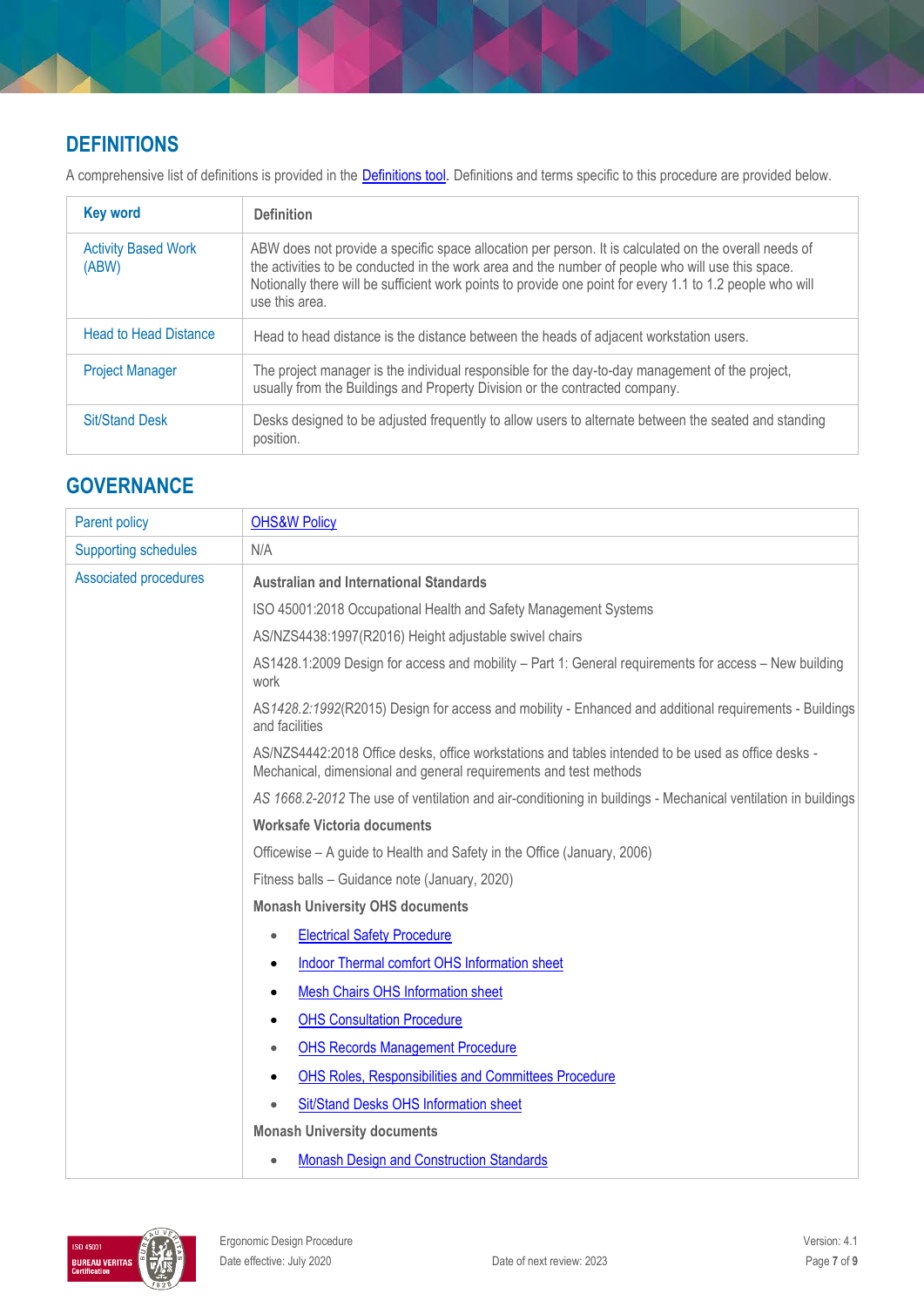# **DEFINITIONS**

A comprehensive list of definitions is provided in the **Definitions tool**. Definitions and terms specific to this procedure are provided below.

| <b>Key word</b>                     | <b>Definition</b>                                                                                                                                                                                                                                                                                                                         |  |
|-------------------------------------|-------------------------------------------------------------------------------------------------------------------------------------------------------------------------------------------------------------------------------------------------------------------------------------------------------------------------------------------|--|
| <b>Activity Based Work</b><br>(ABW) | ABW does not provide a specific space allocation per person. It is calculated on the overall needs of<br>the activities to be conducted in the work area and the number of people who will use this space.<br>Notionally there will be sufficient work points to provide one point for every 1.1 to 1.2 people who will<br>use this area. |  |
| <b>Head to Head Distance</b>        | Head to head distance is the distance between the heads of adjacent workstation users.                                                                                                                                                                                                                                                    |  |
| <b>Project Manager</b>              | The project manager is the individual responsible for the day-to-day management of the project,<br>usually from the Buildings and Property Division or the contracted company.                                                                                                                                                            |  |
| <b>Sit/Stand Desk</b>               | Desks designed to be adjusted frequently to allow users to alternate between the seated and standing<br>position.                                                                                                                                                                                                                         |  |

## **GOVERNANCE**

| <b>Parent policy</b>                                                                                                                                                    | <b>OHS&amp;W Policy</b>                                                                                                  |  |  |
|-------------------------------------------------------------------------------------------------------------------------------------------------------------------------|--------------------------------------------------------------------------------------------------------------------------|--|--|
| <b>Supporting schedules</b>                                                                                                                                             | N/A                                                                                                                      |  |  |
| <b>Associated procedures</b>                                                                                                                                            | <b>Australian and International Standards</b>                                                                            |  |  |
|                                                                                                                                                                         | ISO 45001:2018 Occupational Health and Safety Management Systems                                                         |  |  |
|                                                                                                                                                                         | AS/NZS4438:1997(R2016) Height adjustable swivel chairs                                                                   |  |  |
|                                                                                                                                                                         | AS1428.1:2009 Design for access and mobility - Part 1: General requirements for access - New building<br>work            |  |  |
|                                                                                                                                                                         | AS1428.2:1992(R2015) Design for access and mobility - Enhanced and additional requirements - Buildings<br>and facilities |  |  |
| AS/NZS4442:2018 Office desks, office workstations and tables intended to be used as office desks -<br>Mechanical, dimensional and general requirements and test methods |                                                                                                                          |  |  |
|                                                                                                                                                                         | AS 1668.2-2012 The use of ventilation and air-conditioning in buildings - Mechanical ventilation in buildings            |  |  |
|                                                                                                                                                                         | Worksafe Victoria documents                                                                                              |  |  |
|                                                                                                                                                                         | Officewise – A guide to Health and Safety in the Office (January, 2006)                                                  |  |  |
|                                                                                                                                                                         | Fitness balls - Guidance note (January, 2020)                                                                            |  |  |
|                                                                                                                                                                         | <b>Monash University OHS documents</b>                                                                                   |  |  |
|                                                                                                                                                                         | <b>Electrical Safety Procedure</b><br>$\bullet$                                                                          |  |  |
|                                                                                                                                                                         | Indoor Thermal comfort OHS Information sheet<br>$\bullet$                                                                |  |  |
|                                                                                                                                                                         | <b>Mesh Chairs OHS Information sheet</b><br>٠                                                                            |  |  |
|                                                                                                                                                                         | <b>OHS Consultation Procedure</b><br>٠                                                                                   |  |  |
|                                                                                                                                                                         | <b>OHS Records Management Procedure</b><br>$\bullet$                                                                     |  |  |
|                                                                                                                                                                         | <b>OHS Roles, Responsibilities and Committees Procedure</b><br>٠                                                         |  |  |
|                                                                                                                                                                         | Sit/Stand Desks OHS Information sheet                                                                                    |  |  |
|                                                                                                                                                                         | <b>Monash University documents</b>                                                                                       |  |  |
|                                                                                                                                                                         | <b>Monash Design and Construction Standards</b><br>$\bullet$                                                             |  |  |

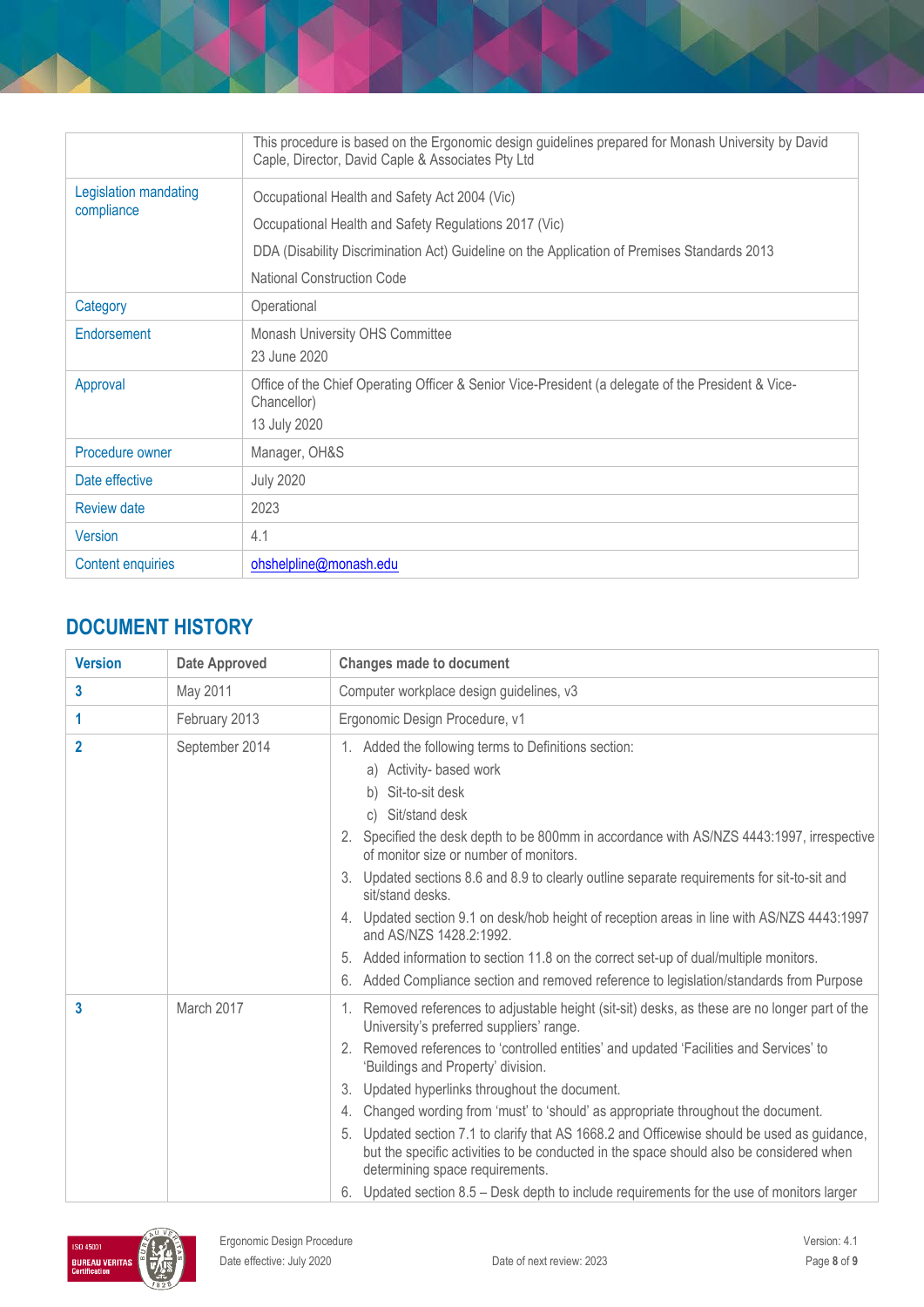|                                                    | This procedure is based on the Ergonomic design guidelines prepared for Monash University by David<br>Caple, Director, David Caple & Associates Pty Ltd |  |
|----------------------------------------------------|---------------------------------------------------------------------------------------------------------------------------------------------------------|--|
| Legislation mandating                              | Occupational Health and Safety Act 2004 (Vic)                                                                                                           |  |
| compliance                                         | Occupational Health and Safety Regulations 2017 (Vic)                                                                                                   |  |
|                                                    | DDA (Disability Discrimination Act) Guideline on the Application of Premises Standards 2013                                                             |  |
|                                                    | <b>National Construction Code</b>                                                                                                                       |  |
| Category                                           | Operational                                                                                                                                             |  |
| Endorsement                                        | Monash University OHS Committee                                                                                                                         |  |
|                                                    | 23 June 2020                                                                                                                                            |  |
| Approval                                           | Office of the Chief Operating Officer & Senior Vice-President (a delegate of the President & Vice-<br>Chancellor)                                       |  |
|                                                    | 13 July 2020                                                                                                                                            |  |
| Manager, OH&S<br>Procedure owner                   |                                                                                                                                                         |  |
| Date effective                                     | <b>July 2020</b>                                                                                                                                        |  |
| <b>Review date</b>                                 | 2023                                                                                                                                                    |  |
| Version                                            | 4.1                                                                                                                                                     |  |
| <b>Content enquiries</b><br>ohshelpline@monash.edu |                                                                                                                                                         |  |

# **DOCUMENT HISTORY**

| <b>Version</b> | <b>Date Approved</b> | <b>Changes made to document</b>                                                                                                                                                                                                                                                                                                                                                                                                                                                                                     |
|----------------|----------------------|---------------------------------------------------------------------------------------------------------------------------------------------------------------------------------------------------------------------------------------------------------------------------------------------------------------------------------------------------------------------------------------------------------------------------------------------------------------------------------------------------------------------|
| 3              | May 2011             | Computer workplace design guidelines, v3                                                                                                                                                                                                                                                                                                                                                                                                                                                                            |
| 1              | February 2013        | Ergonomic Design Procedure, v1                                                                                                                                                                                                                                                                                                                                                                                                                                                                                      |
| $\mathbf{2}$   | September 2014       | 1. Added the following terms to Definitions section:<br>a) Activity- based work<br>Sit-to-sit desk<br>b)<br>Sit/stand desk<br>C)<br>2. Specified the desk depth to be 800mm in accordance with AS/NZS 4443:1997, irrespective<br>of monitor size or number of monitors.<br>3. Updated sections 8.6 and 8.9 to clearly outline separate requirements for sit-to-sit and<br>sit/stand desks.<br>4. Updated section 9.1 on desk/hob height of reception areas in line with AS/NZS 4443:1997<br>and AS/NZS 1428.2:1992. |
|                |                      | 5. Added information to section 11.8 on the correct set-up of dual/multiple monitors.<br>6. Added Compliance section and removed reference to legislation/standards from Purpose                                                                                                                                                                                                                                                                                                                                    |
| 3              | March 2017           | Removed references to adjustable height (sit-sit) desks, as these are no longer part of the<br>1.<br>University's preferred suppliers' range.                                                                                                                                                                                                                                                                                                                                                                       |
|                |                      | 2. Removed references to 'controlled entities' and updated 'Facilities and Services' to<br>'Buildings and Property' division.                                                                                                                                                                                                                                                                                                                                                                                       |
|                |                      | 3. Updated hyperlinks throughout the document.                                                                                                                                                                                                                                                                                                                                                                                                                                                                      |
|                |                      | Changed wording from 'must' to 'should' as appropriate throughout the document.<br>4.                                                                                                                                                                                                                                                                                                                                                                                                                               |
|                |                      | 5. Updated section 7.1 to clarify that AS 1668.2 and Officewise should be used as guidance,<br>but the specific activities to be conducted in the space should also be considered when<br>determining space requirements.                                                                                                                                                                                                                                                                                           |
|                |                      | 6. Updated section 8.5 – Desk depth to include requirements for the use of monitors larger                                                                                                                                                                                                                                                                                                                                                                                                                          |